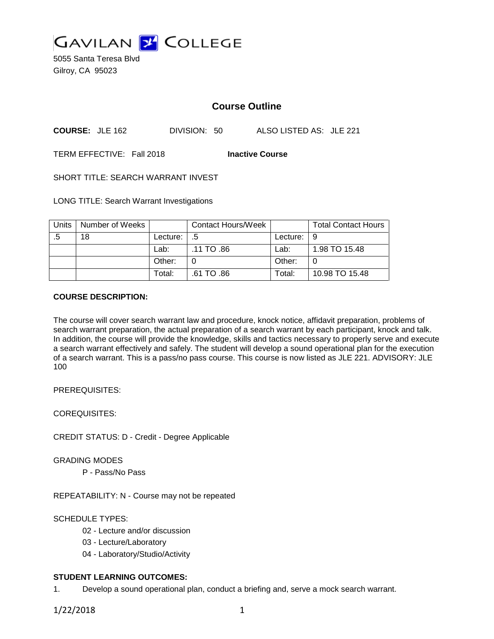

5055 Santa Teresa Blvd Gilroy, CA 95023

# **Course Outline**

**COURSE:** JLE 162 DIVISION: 50 ALSO LISTED AS: JLE 221

TERM EFFECTIVE: Fall 2018 **Inactive Course**

SHORT TITLE: SEARCH WARRANT INVEST

LONG TITLE: Search Warrant Investigations

| Units | Number of Weeks |          | <b>Contact Hours/Week</b> |                    | <b>Total Contact Hours</b> |
|-------|-----------------|----------|---------------------------|--------------------|----------------------------|
|       | 18              | Lecture: | .5                        | Lecture: $\vert 9$ |                            |
|       |                 | Lab:     | .11 TO .86                | Lab:               | 1.98 TO 15.48              |
|       |                 | Other:   |                           | Other:             |                            |
|       |                 | Total:   | .61 TO .86                | Total:             | 10.98 TO 15.48             |

### **COURSE DESCRIPTION:**

The course will cover search warrant law and procedure, knock notice, affidavit preparation, problems of search warrant preparation, the actual preparation of a search warrant by each participant, knock and talk. In addition, the course will provide the knowledge, skills and tactics necessary to properly serve and execute a search warrant effectively and safely. The student will develop a sound operational plan for the execution of a search warrant. This is a pass/no pass course. This course is now listed as JLE 221. ADVISORY: JLE 100

PREREQUISITES:

COREQUISITES:

CREDIT STATUS: D - Credit - Degree Applicable

GRADING MODES

P - Pass/No Pass

REPEATABILITY: N - Course may not be repeated

SCHEDULE TYPES:

- 02 Lecture and/or discussion
- 03 Lecture/Laboratory
- 04 Laboratory/Studio/Activity

## **STUDENT LEARNING OUTCOMES:**

1. Develop a sound operational plan, conduct a briefing and, serve a mock search warrant.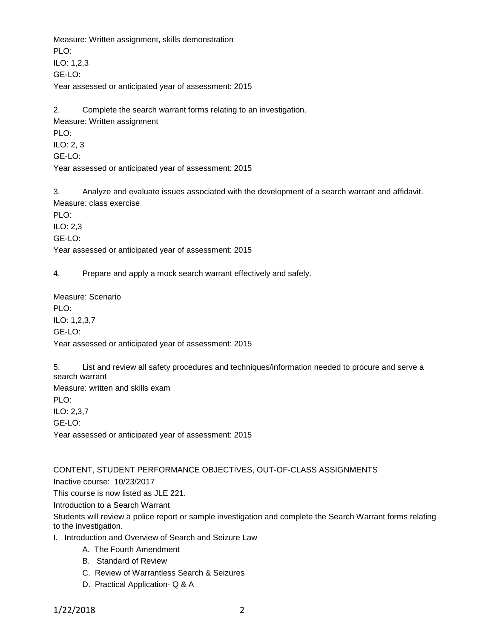Measure: Written assignment, skills demonstration PLO<sup>.</sup> ILO: 1,2,3 GE-LO: Year assessed or anticipated year of assessment: 2015

2. Complete the search warrant forms relating to an investigation. Measure: Written assignment PLO:

ILO: 2, 3

GE-LO:

Year assessed or anticipated year of assessment: 2015

3. Analyze and evaluate issues associated with the development of a search warrant and affidavit. Measure: class exercise

PLO:

ILO: 2,3

GE-LO:

Year assessed or anticipated year of assessment: 2015

4. Prepare and apply a mock search warrant effectively and safely.

Measure: Scenario PLO: ILO: 1,2,3,7 GE-LO: Year assessed or anticipated year of assessment: 2015

5. List and review all safety procedures and techniques/information needed to procure and serve a search warrant Measure: written and skills exam PLO: ILO: 2,3,7 GE-LO: Year assessed or anticipated year of assessment: 2015

CONTENT, STUDENT PERFORMANCE OBJECTIVES, OUT-OF-CLASS ASSIGNMENTS

Inactive course: 10/23/2017

This course is now listed as JLE 221.

Introduction to a Search Warrant

Students will review a police report or sample investigation and complete the Search Warrant forms relating to the investigation.

- I. Introduction and Overview of Search and Seizure Law
	- A. The Fourth Amendment
	- B. Standard of Review
	- C. Review of Warrantless Search & Seizures
	- D. Practical Application- Q & A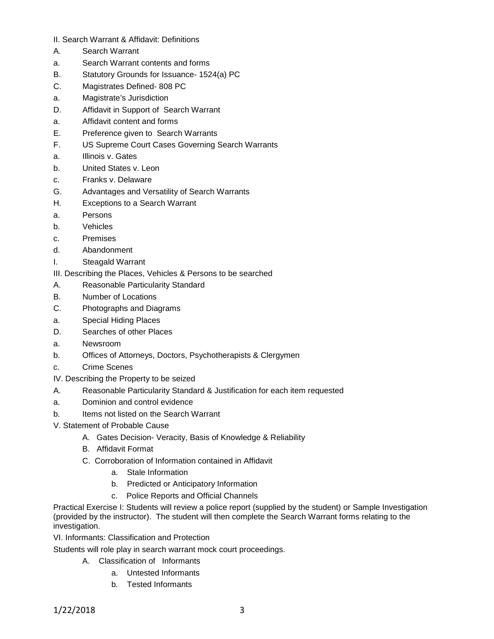- II. Search Warrant & Affidavit: Definitions
- A. Search Warrant
- a. Search Warrant contents and forms
- B. Statutory Grounds for Issuance- 1524(a) PC
- C. Magistrates Defined- 808 PC
- a. Magistrate's Jurisdiction
- D. Affidavit in Support of Search Warrant
- a. Affidavit content and forms
- E. Preference given to Search Warrants
- F. US Supreme Court Cases Governing Search Warrants
- a. Illinois v. Gates
- b. United States v. Leon
- c. Franks v. Delaware
- G. Advantages and Versatility of Search Warrants
- H. Exceptions to a Search Warrant
- a. Persons
- b. Vehicles
- c. Premises
- d. Abandonment
- I. Steagald Warrant
- III. Describing the Places, Vehicles & Persons to be searched
- A. Reasonable Particularity Standard
- B. Number of Locations
- C. Photographs and Diagrams
- a. Special Hiding Places
- D. Searches of other Places
- a. Newsroom
- b. Offices of Attorneys, Doctors, Psychotherapists & Clergymen
- c. Crime Scenes
- IV. Describing the Property to be seized
- A. Reasonable Particularity Standard & Justification for each item requested
- a. Dominion and control evidence
- b. Items not listed on the Search Warrant
- V. Statement of Probable Cause
	- A. Gates Decision- Veracity, Basis of Knowledge & Reliability
	- B. Affidavit Format
	- C. Corroboration of Information contained in Affidavit
		- a. Stale Information
		- b. Predicted or Anticipatory Information
		- c. Police Reports and Official Channels

Practical Exercise I: Students will review a police report (supplied by the student) or Sample Investigation (provided by the instructor). The student will then complete the Search Warrant forms relating to the investigation.

VI. Informants: Classification and Protection

Students will role play in search warrant mock court proceedings.

- A. Classification of Informants
	- a. Untested Informants
	- b. Tested Informants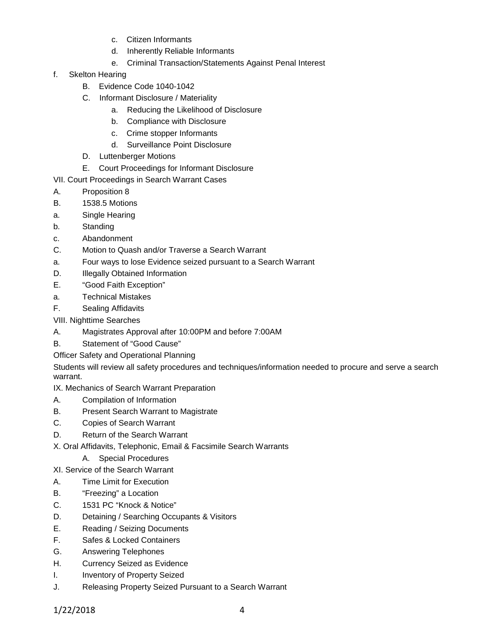- c. Citizen Informants
- d. Inherently Reliable Informants
- e. Criminal Transaction/Statements Against Penal Interest
- f. Skelton Hearing
	- B. Evidence Code 1040-1042
	- C. Informant Disclosure / Materiality
		- a. Reducing the Likelihood of Disclosure
		- b. Compliance with Disclosure
		- c. Crime stopper Informants
		- d. Surveillance Point Disclosure
	- D. Luttenberger Motions
	- E. Court Proceedings for Informant Disclosure
- VII. Court Proceedings in Search Warrant Cases
- A. Proposition 8
- B. 1538.5 Motions
- a. Single Hearing
- b. Standing
- c. Abandonment
- C. Motion to Quash and/or Traverse a Search Warrant
- a. Four ways to lose Evidence seized pursuant to a Search Warrant
- D. **Illegally Obtained Information**
- E. "Good Faith Exception"
- a. Technical Mistakes
- F. Sealing Affidavits
- VIII. Nighttime Searches
- A. Magistrates Approval after 10:00PM and before 7:00AM
- B. Statement of "Good Cause"
- Officer Safety and Operational Planning

Students will review all safety procedures and techniques/information needed to procure and serve a search warrant.

- IX. Mechanics of Search Warrant Preparation
- A. Compilation of Information
- B. Present Search Warrant to Magistrate
- C. Copies of Search Warrant
- D. Return of the Search Warrant

X. Oral Affidavits, Telephonic, Email & Facsimile Search Warrants

- A. Special Procedures
- XI. Service of the Search Warrant
- A. Time Limit for Execution
- B. "Freezing" a Location
- C. 1531 PC "Knock & Notice"
- D. Detaining / Searching Occupants & Visitors
- E. Reading / Seizing Documents
- F. Safes & Locked Containers
- G. Answering Telephones
- H. Currency Seized as Evidence
- I. Inventory of Property Seized
- J. Releasing Property Seized Pursuant to a Search Warrant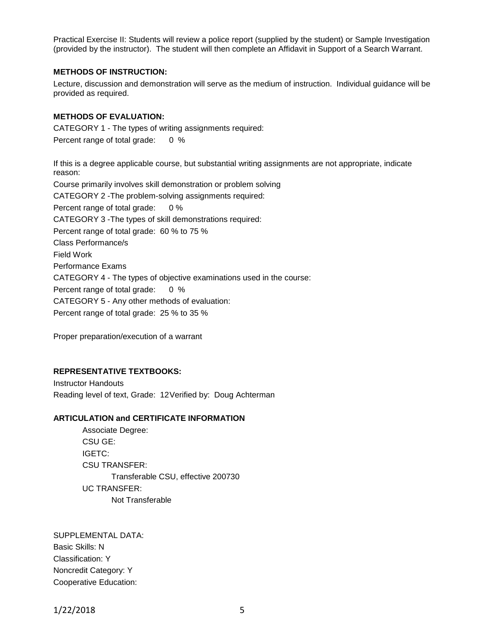Practical Exercise II: Students will review a police report (supplied by the student) or Sample Investigation (provided by the instructor). The student will then complete an Affidavit in Support of a Search Warrant.

### **METHODS OF INSTRUCTION:**

Lecture, discussion and demonstration will serve as the medium of instruction. Individual guidance will be provided as required.

### **METHODS OF EVALUATION:**

CATEGORY 1 - The types of writing assignments required: Percent range of total grade: 0 %

If this is a degree applicable course, but substantial writing assignments are not appropriate, indicate reason: Course primarily involves skill demonstration or problem solving CATEGORY 2 -The problem-solving assignments required: Percent range of total grade: 0 % CATEGORY 3 -The types of skill demonstrations required: Percent range of total grade: 60 % to 75 % Class Performance/s Field Work Performance Exams CATEGORY 4 - The types of objective examinations used in the course: Percent range of total grade: 0 % CATEGORY 5 - Any other methods of evaluation: Percent range of total grade: 25 % to 35 %

Proper preparation/execution of a warrant

#### **REPRESENTATIVE TEXTBOOKS:**

Instructor Handouts Reading level of text, Grade: 12Verified by: Doug Achterman

## **ARTICULATION and CERTIFICATE INFORMATION**

Associate Degree: CSU GE: IGETC: CSU TRANSFER: Transferable CSU, effective 200730 UC TRANSFER: Not Transferable

SUPPLEMENTAL DATA: Basic Skills: N Classification: Y Noncredit Category: Y Cooperative Education: